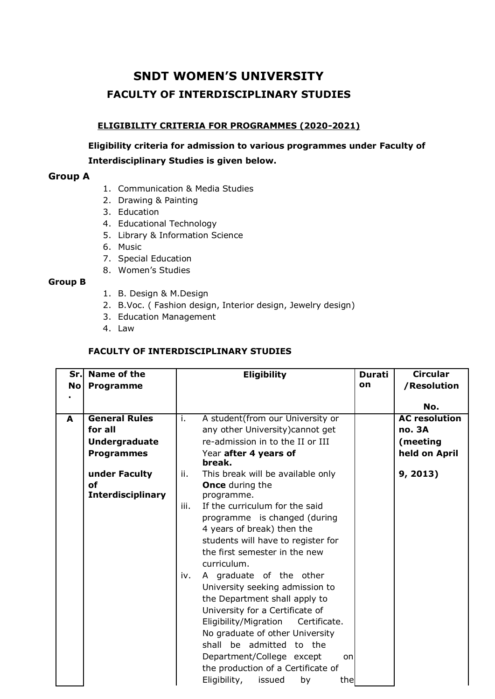# **SNDT WOMEN'S UNIVERSITY FACULTY OF INTERDISCIPLINARY STUDIES**

### **ELIGIBILITY CRITERIA FOR PROGRAMMES (2020-2021)**

**Eligibility criteria for admission to various programmes under Faculty of Interdisciplinary Studies is given below.**

## **Group A**

- 1. Communication & Media Studies
- 2. Drawing & Painting
- 3. Education
- 4. Educational Technology
- 5. Library & Information Science
- 6. Music
- 7. Special Education
- 8. Women's Studies

### **Group B**

- 1. B. Design & M.Design
- 2. B.Voc. ( Fashion design, Interior design, Jewelry design)
- 3. Education Management
- 4. Law

## **FACULTY OF INTERDISCIPLINARY STUDIES**

| Sr.<br><b>No</b> | Name of the<br>Programme | <b>Eligibility</b>                       | <b>Durati</b><br>on | <b>Circular</b><br>/Resolution |
|------------------|--------------------------|------------------------------------------|---------------------|--------------------------------|
|                  |                          |                                          |                     | No.                            |
| A                | <b>General Rules</b>     | A student(from our University or<br>i.   |                     | <b>AC</b> resolution           |
|                  | for all                  | any other University) cannot get         |                     | <b>no. 3A</b>                  |
|                  | <b>Undergraduate</b>     | re-admission in to the II or III         |                     | (meeting                       |
|                  | <b>Programmes</b>        | Year after 4 years of<br>break.          |                     | held on April                  |
|                  | under Faculty            | This break will be available only<br>ii. |                     | 9, 2013)                       |
|                  | of                       | <b>Once</b> during the                   |                     |                                |
|                  | <b>Interdisciplinary</b> | programme.                               |                     |                                |
|                  |                          | If the curriculum for the said<br>iii.   |                     |                                |
|                  |                          | programme is changed (during             |                     |                                |
|                  |                          | 4 years of break) then the               |                     |                                |
|                  |                          | students will have to register for       |                     |                                |
|                  |                          | the first semester in the new            |                     |                                |
|                  |                          | curriculum.                              |                     |                                |
|                  |                          | A graduate of the other<br>iv.           |                     |                                |
|                  |                          | University seeking admission to          |                     |                                |
|                  |                          | the Department shall apply to            |                     |                                |
|                  |                          | University for a Certificate of          |                     |                                |
|                  |                          | Eligibility/Migration<br>Certificate.    |                     |                                |
|                  |                          | No graduate of other University          |                     |                                |
|                  |                          | shall be admitted to the                 |                     |                                |
|                  |                          | Department/College except<br>on          |                     |                                |
|                  |                          | the production of a Certificate of       |                     |                                |
|                  |                          | Eligibility,<br>issued<br>by<br>the      |                     |                                |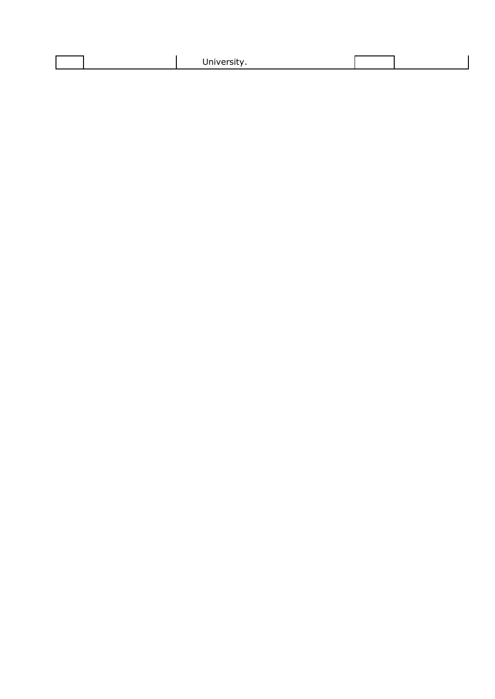|  |  |  | . <i>. .</i><br>$11V - 1$<br>31 L<br><b>OTTLACT SIL</b> |  |  |
|--|--|--|---------------------------------------------------------|--|--|
|--|--|--|---------------------------------------------------------|--|--|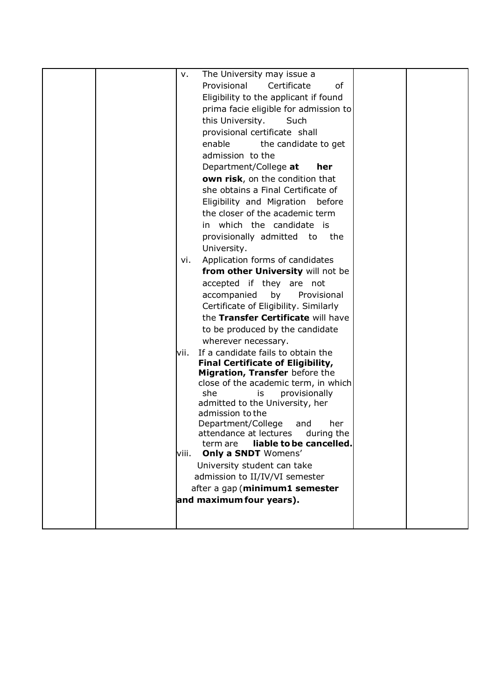|  | v.    | The University may issue a                                 |  |
|--|-------|------------------------------------------------------------|--|
|  |       | Provisional<br>Certificate<br>οf                           |  |
|  |       | Eligibility to the applicant if found                      |  |
|  |       | prima facie eligible for admission to                      |  |
|  |       | this University.<br>Such                                   |  |
|  |       | provisional certificate shall                              |  |
|  |       | enable<br>the candidate to get                             |  |
|  |       | admission to the                                           |  |
|  |       | Department/College at<br>her                               |  |
|  |       | own risk, on the condition that                            |  |
|  |       | she obtains a Final Certificate of                         |  |
|  |       | Eligibility and Migration<br>before                        |  |
|  |       | the closer of the academic term                            |  |
|  |       | in which the candidate is                                  |  |
|  |       | provisionally admitted to the                              |  |
|  |       | University.                                                |  |
|  | vi.   | Application forms of candidates                            |  |
|  |       | from other University will not be                          |  |
|  |       | accepted if they are not                                   |  |
|  |       | by<br>Provisional<br>accompanied                           |  |
|  |       | Certificate of Eligibility. Similarly                      |  |
|  |       | the Transfer Certificate will have                         |  |
|  |       | to be produced by the candidate                            |  |
|  |       | wherever necessary.                                        |  |
|  | lvii. | If a candidate fails to obtain the                         |  |
|  |       | <b>Final Certificate of Eligibility,</b>                   |  |
|  |       | Migration, Transfer before the                             |  |
|  |       | close of the academic term, in which                       |  |
|  |       | she<br>provisionally<br>is                                 |  |
|  |       | admitted to the University, her                            |  |
|  |       | admission to the                                           |  |
|  |       | Department/College<br>her<br>and<br>attendance at lectures |  |
|  |       | during the<br>liable to be cancelled.<br>term are          |  |
|  | viii. | <b>Only a SNDT Womens'</b>                                 |  |
|  |       | University student can take                                |  |
|  |       | admission to II/IV/VI semester                             |  |
|  |       | after a gap (minimum1 semester                             |  |
|  |       | and maximum four years).                                   |  |
|  |       |                                                            |  |
|  |       |                                                            |  |
|  |       |                                                            |  |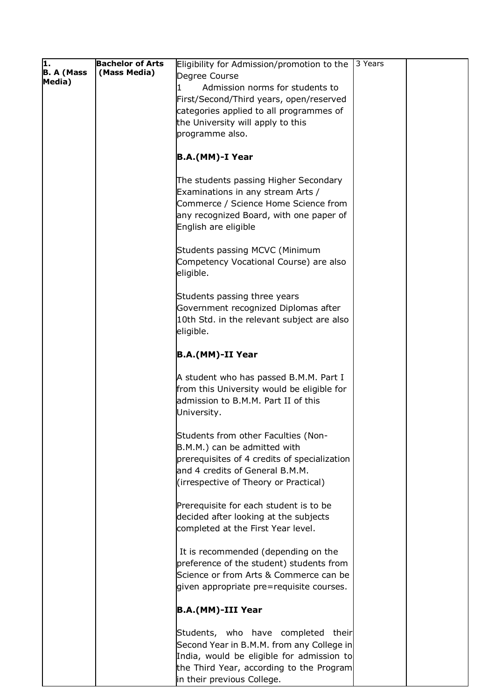| π.                | <b>Bachelor of Arts</b> | Eligibility for Admission/promotion to the   | 3 Years |  |
|-------------------|-------------------------|----------------------------------------------|---------|--|
| <b>B. A (Mass</b> | (Mass Media)            | Degree Course                                |         |  |
| Media)            |                         | Admission norms for students to              |         |  |
|                   |                         |                                              |         |  |
|                   |                         | First/Second/Third years, open/reserved      |         |  |
|                   |                         | categories applied to all programmes of      |         |  |
|                   |                         | the University will apply to this            |         |  |
|                   |                         | programme also.                              |         |  |
|                   |                         |                                              |         |  |
|                   |                         | B.A.(MM)-I Year                              |         |  |
|                   |                         |                                              |         |  |
|                   |                         |                                              |         |  |
|                   |                         | The students passing Higher Secondary        |         |  |
|                   |                         | Examinations in any stream Arts /            |         |  |
|                   |                         | Commerce / Science Home Science from         |         |  |
|                   |                         | any recognized Board, with one paper of      |         |  |
|                   |                         | English are eligible                         |         |  |
|                   |                         |                                              |         |  |
|                   |                         | Students passing MCVC (Minimum               |         |  |
|                   |                         |                                              |         |  |
|                   |                         | Competency Vocational Course) are also       |         |  |
|                   |                         | eligible.                                    |         |  |
|                   |                         |                                              |         |  |
|                   |                         | Students passing three years                 |         |  |
|                   |                         | Government recognized Diplomas after         |         |  |
|                   |                         | 10th Std. in the relevant subject are also   |         |  |
|                   |                         | eligible.                                    |         |  |
|                   |                         |                                              |         |  |
|                   |                         | B.A.(MM)-II Year                             |         |  |
|                   |                         |                                              |         |  |
|                   |                         | A student who has passed B.M.M. Part I       |         |  |
|                   |                         | from this University would be eligible for   |         |  |
|                   |                         | admission to B.M.M. Part II of this          |         |  |
|                   |                         | University.                                  |         |  |
|                   |                         |                                              |         |  |
|                   |                         | Students from other Faculties (Non-          |         |  |
|                   |                         |                                              |         |  |
|                   |                         | B.M.M.) can be admitted with                 |         |  |
|                   |                         | prerequisites of 4 credits of specialization |         |  |
|                   |                         | and 4 credits of General B.M.M.              |         |  |
|                   |                         | (irrespective of Theory or Practical)        |         |  |
|                   |                         |                                              |         |  |
|                   |                         | Prerequisite for each student is to be       |         |  |
|                   |                         | decided after looking at the subjects        |         |  |
|                   |                         | completed at the First Year level.           |         |  |
|                   |                         |                                              |         |  |
|                   |                         | It is recommended (depending on the          |         |  |
|                   |                         | preference of the student) students from     |         |  |
|                   |                         |                                              |         |  |
|                   |                         | Science or from Arts & Commerce can be       |         |  |
|                   |                         | given appropriate pre=requisite courses.     |         |  |
|                   |                         |                                              |         |  |
|                   |                         | B.A.(MM)-III Year                            |         |  |
|                   |                         |                                              |         |  |
|                   |                         | Students, who have completed their           |         |  |
|                   |                         | Second Year in B.M.M. from any College in    |         |  |
|                   |                         | India, would be eligible for admission to    |         |  |
|                   |                         | the Third Year, according to the Program     |         |  |
|                   |                         | in their previous College.                   |         |  |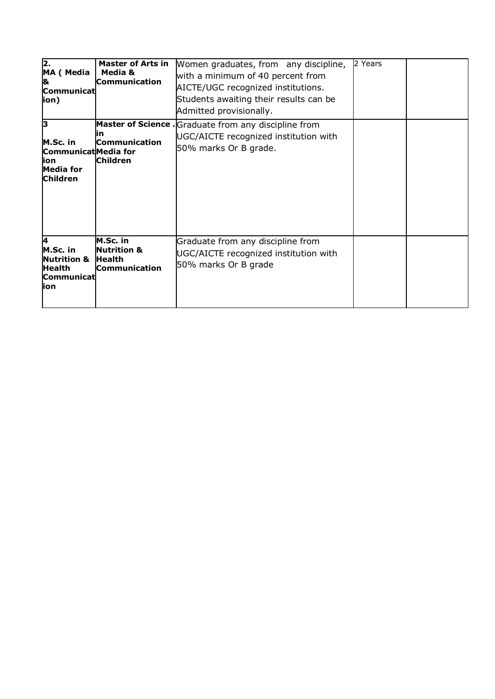| 2.<br>MA (Media<br>8<br>Communicat<br>(ion                                             | <b>Master of Arts in</b><br>Media &<br><b>Communication</b>                 | Women graduates, from any discipline,<br>with a minimum of 40 percent from<br>AICTE/UGC recognized institutions.<br>Students awaiting their results can be<br>Admitted provisionally. | 2 Years |  |
|----------------------------------------------------------------------------------------|-----------------------------------------------------------------------------|---------------------------------------------------------------------------------------------------------------------------------------------------------------------------------------|---------|--|
| lз<br>M.Sc. in<br>CommunicatMedia for<br>lion<br><b>Media for</b><br><b>Children</b>   | ın<br><b>Communication</b><br><b>Children</b>                               | Master of Science . Graduate from any discipline from<br>UGC/AICTE recognized institution with<br>50% marks Or B grade.                                                               |         |  |
| 14<br>M.Sc. in<br><b>Nutrition &amp;</b><br><b>Health</b><br><b>Communicat</b><br>lion | M.Sc. in<br><b>Nutrition &amp;</b><br><b>Health</b><br><b>Communication</b> | Graduate from any discipline from<br>UGC/AICTE recognized institution with<br>50% marks Or B grade                                                                                    |         |  |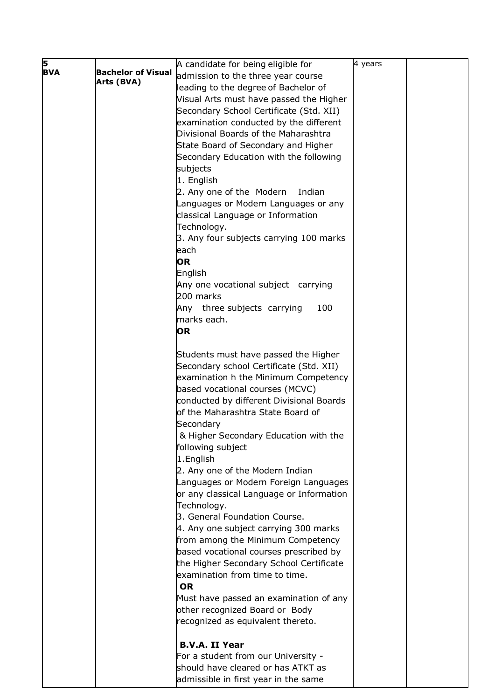| 5          |                           | A candidate for being eligible for       | 4 years |  |
|------------|---------------------------|------------------------------------------|---------|--|
| <b>BVA</b> | <b>Bachelor of Visual</b> | admission to the three year course       |         |  |
|            | Arts (BVA)                | leading to the degree of Bachelor of     |         |  |
|            |                           | Visual Arts must have passed the Higher  |         |  |
|            |                           | Secondary School Certificate (Std. XII)  |         |  |
|            |                           | examination conducted by the different   |         |  |
|            |                           | Divisional Boards of the Maharashtra     |         |  |
|            |                           | State Board of Secondary and Higher      |         |  |
|            |                           | Secondary Education with the following   |         |  |
|            |                           | subjects                                 |         |  |
|            |                           | 1. English                               |         |  |
|            |                           | 2. Any one of the Modern<br>Indian       |         |  |
|            |                           | Languages or Modern Languages or any     |         |  |
|            |                           | classical Language or Information        |         |  |
|            |                           | Technology.                              |         |  |
|            |                           | 3. Any four subjects carrying 100 marks  |         |  |
|            |                           | each                                     |         |  |
|            |                           | <b>OR</b>                                |         |  |
|            |                           | English                                  |         |  |
|            |                           | Any one vocational subject carrying      |         |  |
|            |                           | 200 marks                                |         |  |
|            |                           | Any three subjects carrying<br>100       |         |  |
|            |                           | marks each.                              |         |  |
|            |                           | <b>OR</b>                                |         |  |
|            |                           | Students must have passed the Higher     |         |  |
|            |                           | Secondary school Certificate (Std. XII)  |         |  |
|            |                           | examination h the Minimum Competency     |         |  |
|            |                           | based vocational courses (MCVC)          |         |  |
|            |                           | conducted by different Divisional Boards |         |  |
|            |                           | of the Maharashtra State Board of        |         |  |
|            |                           | Secondary                                |         |  |
|            |                           | & Higher Secondary Education with the    |         |  |
|            |                           | following subject                        |         |  |
|            |                           | 1.English                                |         |  |
|            |                           | 2. Any one of the Modern Indian          |         |  |
|            |                           | Languages or Modern Foreign Languages    |         |  |
|            |                           | or any classical Language or Information |         |  |
|            |                           | Technology.                              |         |  |
|            |                           | 3. General Foundation Course.            |         |  |
|            |                           | 4. Any one subject carrying 300 marks    |         |  |
|            |                           | from among the Minimum Competency        |         |  |
|            |                           | based vocational courses prescribed by   |         |  |
|            |                           | the Higher Secondary School Certificate  |         |  |
|            |                           | examination from time to time.           |         |  |
|            |                           | <b>OR</b>                                |         |  |
|            |                           | Must have passed an examination of any   |         |  |
|            |                           | other recognized Board or Body           |         |  |
|            |                           | recognized as equivalent thereto.        |         |  |
|            |                           | <b>B.V.A. II Year</b>                    |         |  |
|            |                           | For a student from our University -      |         |  |
|            |                           | should have cleared or has ATKT as       |         |  |
|            |                           | admissible in first year in the same     |         |  |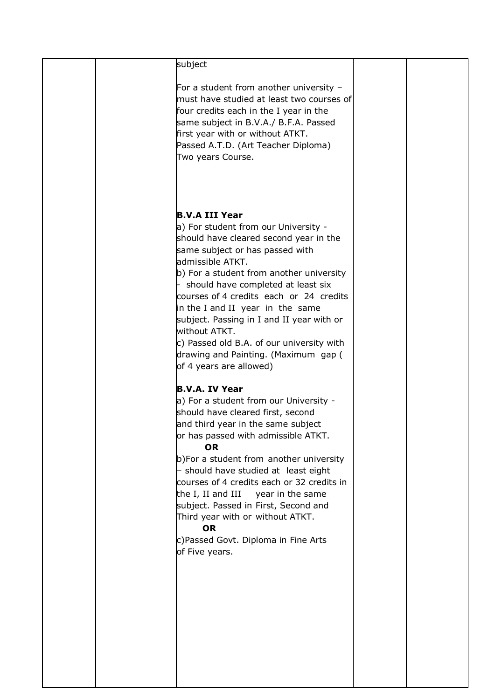| subject                                    |  |
|--------------------------------------------|--|
|                                            |  |
| For a student from another university $-$  |  |
| must have studied at least two courses of  |  |
| four credits each in the I year in the     |  |
|                                            |  |
| same subject in B.V.A./ B.F.A. Passed      |  |
| first year with or without ATKT.           |  |
| Passed A.T.D. (Art Teacher Diploma)        |  |
| Two years Course.                          |  |
|                                            |  |
|                                            |  |
|                                            |  |
|                                            |  |
|                                            |  |
| B.V.A III Year                             |  |
|                                            |  |
| a) For student from our University -       |  |
| should have cleared second year in the     |  |
| same subject or has passed with            |  |
| admissible ATKT.                           |  |
|                                            |  |
| b) For a student from another university   |  |
| should have completed at least six         |  |
| courses of 4 credits each or 24 credits    |  |
| in the I and II year in the same           |  |
|                                            |  |
| subject. Passing in I and II year with or  |  |
| without ATKT.                              |  |
| c) Passed old B.A. of our university with  |  |
| drawing and Painting. (Maximum gap (       |  |
| of 4 years are allowed)                    |  |
|                                            |  |
|                                            |  |
| <b>B.V.A. IV Year</b>                      |  |
| a) For a student from our University -     |  |
| should have cleared first, second          |  |
|                                            |  |
| and third year in the same subject         |  |
| or has passed with admissible ATKT.        |  |
| <b>OR</b>                                  |  |
| b)For a student from another university    |  |
| - should have studied at least eight       |  |
|                                            |  |
| courses of 4 credits each or 32 credits in |  |
| the I, II and III<br>year in the same      |  |
| subject. Passed in First, Second and       |  |
| Third year with or without ATKT.           |  |
| <b>OR</b>                                  |  |
|                                            |  |
| c)Passed Govt. Diploma in Fine Arts        |  |
| of Five years.                             |  |
|                                            |  |
|                                            |  |
|                                            |  |
|                                            |  |
|                                            |  |
|                                            |  |
|                                            |  |
|                                            |  |
|                                            |  |
|                                            |  |
|                                            |  |
|                                            |  |
|                                            |  |
|                                            |  |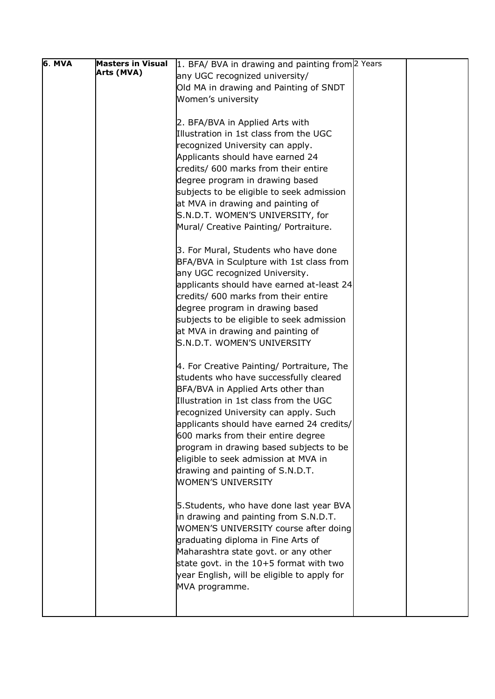| 6. MVA | <b>Masters in Visual</b> | 1. BFA/ BVA in drawing and painting from 2 Years                                       |  |
|--------|--------------------------|----------------------------------------------------------------------------------------|--|
|        | Arts (MVA)               | any UGC recognized university/                                                         |  |
|        |                          | Old MA in drawing and Painting of SNDT                                                 |  |
|        |                          | Women's university                                                                     |  |
|        |                          |                                                                                        |  |
|        |                          | 2. BFA/BVA in Applied Arts with                                                        |  |
|        |                          | Illustration in 1st class from the UGC                                                 |  |
|        |                          | recognized University can apply.                                                       |  |
|        |                          | Applicants should have earned 24                                                       |  |
|        |                          | credits/ 600 marks from their entire                                                   |  |
|        |                          | degree program in drawing based                                                        |  |
|        |                          | subjects to be eligible to seek admission                                              |  |
|        |                          | at MVA in drawing and painting of                                                      |  |
|        |                          | S.N.D.T. WOMEN'S UNIVERSITY, for                                                       |  |
|        |                          | Mural/ Creative Painting/ Portraiture.                                                 |  |
|        |                          |                                                                                        |  |
|        |                          | 3. For Mural, Students who have done                                                   |  |
|        |                          | BFA/BVA in Sculpture with 1st class from                                               |  |
|        |                          | any UGC recognized University.                                                         |  |
|        |                          | applicants should have earned at-least 24<br>credits/ 600 marks from their entire      |  |
|        |                          | degree program in drawing based                                                        |  |
|        |                          | subjects to be eligible to seek admission                                              |  |
|        |                          | at MVA in drawing and painting of                                                      |  |
|        |                          | S.N.D.T. WOMEN'S UNIVERSITY                                                            |  |
|        |                          |                                                                                        |  |
|        |                          | 4. For Creative Painting/ Portraiture, The                                             |  |
|        |                          | students who have successfully cleared                                                 |  |
|        |                          | BFA/BVA in Applied Arts other than                                                     |  |
|        |                          | Illustration in 1st class from the UGC                                                 |  |
|        |                          | recognized University can apply. Such                                                  |  |
|        |                          | applicants should have earned 24 credits/                                              |  |
|        |                          | 600 marks from their entire degree                                                     |  |
|        |                          | program in drawing based subjects to be                                                |  |
|        |                          | eligible to seek admission at MVA in                                                   |  |
|        |                          | drawing and painting of S.N.D.T.                                                       |  |
|        |                          | <b>WOMEN'S UNIVERSITY</b>                                                              |  |
|        |                          |                                                                                        |  |
|        |                          | 5. Students, who have done last year BVA                                               |  |
|        |                          | in drawing and painting from S.N.D.T.                                                  |  |
|        |                          | <b>WOMEN'S UNIVERSITY course after doing</b>                                           |  |
|        |                          | graduating diploma in Fine Arts of                                                     |  |
|        |                          | Maharashtra state govt. or any other                                                   |  |
|        |                          | state govt. in the 10+5 format with two<br>year English, will be eligible to apply for |  |
|        |                          | MVA programme.                                                                         |  |
|        |                          |                                                                                        |  |
|        |                          |                                                                                        |  |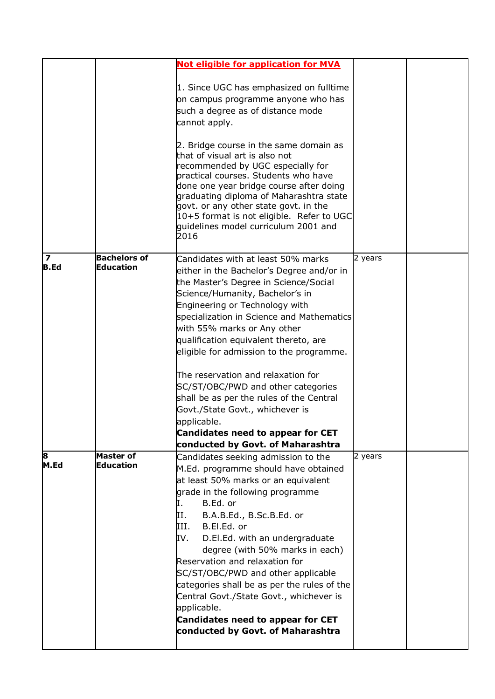|                         |                                      | <b>Not eligible for application for MVA</b>                                        |         |  |
|-------------------------|--------------------------------------|------------------------------------------------------------------------------------|---------|--|
|                         |                                      |                                                                                    |         |  |
|                         |                                      | 1. Since UGC has emphasized on fulltime                                            |         |  |
|                         |                                      | on campus programme anyone who has                                                 |         |  |
|                         |                                      | such a degree as of distance mode                                                  |         |  |
|                         |                                      | cannot apply.                                                                      |         |  |
|                         |                                      |                                                                                    |         |  |
|                         |                                      | 2. Bridge course in the same domain as                                             |         |  |
|                         |                                      | that of visual art is also not                                                     |         |  |
|                         |                                      | recommended by UGC especially for                                                  |         |  |
|                         |                                      | practical courses. Students who have                                               |         |  |
|                         |                                      | done one year bridge course after doing<br>graduating diploma of Maharashtra state |         |  |
|                         |                                      | govt. or any other state govt. in the                                              |         |  |
|                         |                                      | 10+5 format is not eligible. Refer to UGC                                          |         |  |
|                         |                                      | quidelines model curriculum 2001 and                                               |         |  |
|                         |                                      | 2016                                                                               |         |  |
| $\overline{\mathbf{z}}$ | <b>Bachelors of</b>                  | Candidates with at least 50% marks                                                 | 2 years |  |
| <b>B.Ed</b>             | <b>Education</b>                     | either in the Bachelor's Degree and/or in                                          |         |  |
|                         |                                      | the Master's Degree in Science/Social                                              |         |  |
|                         |                                      | Science/Humanity, Bachelor's in                                                    |         |  |
|                         |                                      | Engineering or Technology with                                                     |         |  |
|                         |                                      | specialization in Science and Mathematics                                          |         |  |
|                         |                                      | with 55% marks or Any other                                                        |         |  |
|                         |                                      | qualification equivalent thereto, are                                              |         |  |
|                         |                                      | eligible for admission to the programme.                                           |         |  |
|                         |                                      | The reservation and relaxation for                                                 |         |  |
|                         |                                      | SC/ST/OBC/PWD and other categories                                                 |         |  |
|                         |                                      | shall be as per the rules of the Central                                           |         |  |
|                         |                                      | Govt./State Govt., whichever is                                                    |         |  |
|                         |                                      | applicable.                                                                        |         |  |
|                         |                                      | Candidates need to appear for CET                                                  |         |  |
|                         |                                      | conducted by Govt. of Maharashtra                                                  |         |  |
| 8<br>M.Ed               | <b>Master of</b><br><b>Education</b> | Candidates seeking admission to the                                                | 2 years |  |
|                         |                                      | M.Ed. programme should have obtained                                               |         |  |
|                         |                                      | at least 50% marks or an equivalent<br>grade in the following programme            |         |  |
|                         |                                      | B.Ed. or<br>Ī.                                                                     |         |  |
|                         |                                      | B.A.B.Ed., B.Sc.B.Ed. or<br>II.                                                    |         |  |
|                         |                                      | B.El.Ed. or<br>III.                                                                |         |  |
|                         |                                      | D.El.Ed. with an undergraduate<br>IV.                                              |         |  |
|                         |                                      | degree (with 50% marks in each)                                                    |         |  |
|                         |                                      | Reservation and relaxation for                                                     |         |  |
|                         |                                      | SC/ST/OBC/PWD and other applicable                                                 |         |  |
|                         |                                      | categories shall be as per the rules of the                                        |         |  |
|                         |                                      | Central Govt./State Govt., whichever is                                            |         |  |
|                         |                                      | applicable.                                                                        |         |  |
|                         |                                      | <b>Candidates need to appear for CET</b>                                           |         |  |
|                         |                                      | conducted by Govt. of Maharashtra                                                  |         |  |
|                         |                                      |                                                                                    |         |  |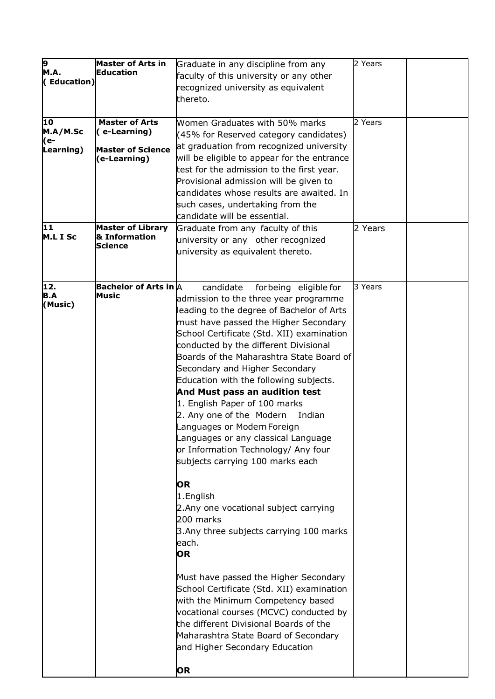| <u>թ</u>        | <b>Master of Arts in</b>              | Graduate in any discipline from any                              | 2 Years |  |
|-----------------|---------------------------------------|------------------------------------------------------------------|---------|--|
| M.A.            | <b>Education</b>                      | faculty of this university or any other                          |         |  |
| (Education)     |                                       | recognized university as equivalent                              |         |  |
|                 |                                       | thereto.                                                         |         |  |
| $\overline{10}$ |                                       |                                                                  | 2 Years |  |
| M.A/M.Sc        | <b>Master of Arts</b><br>(e-Learning) | Women Graduates with 50% marks                                   |         |  |
| (e-             |                                       | (45% for Reserved category candidates)                           |         |  |
| Learning)       | <b>Master of Science</b>              | at graduation from recognized university                         |         |  |
|                 | (e-Learning)                          | will be eligible to appear for the entrance                      |         |  |
|                 |                                       | test for the admission to the first year.                        |         |  |
|                 |                                       | Provisional admission will be given to                           |         |  |
|                 |                                       | candidates whose results are awaited. In                         |         |  |
|                 |                                       | such cases, undertaking from the<br>candidate will be essential. |         |  |
| 11              | <b>Master of Library</b>              |                                                                  |         |  |
| M.L I Sc        | & Information                         | Graduate from any faculty of this                                | 2 Years |  |
|                 | <b>Science</b>                        | university or any other recognized                               |         |  |
|                 |                                       | university as equivalent thereto.                                |         |  |
|                 |                                       |                                                                  |         |  |
| 12.             | Bachelor of Arts in $\mathsf A$       | candidate<br>forbeing eligible for                               | 3 Years |  |
| <b>B.A</b>      | Music                                 | admission to the three year programme                            |         |  |
| (Music)         |                                       | leading to the degree of Bachelor of Arts                        |         |  |
|                 |                                       | must have passed the Higher Secondary                            |         |  |
|                 |                                       | School Certificate (Std. XII) examination                        |         |  |
|                 |                                       | conducted by the different Divisional                            |         |  |
|                 |                                       | Boards of the Maharashtra State Board of                         |         |  |
|                 |                                       | Secondary and Higher Secondary                                   |         |  |
|                 |                                       | Education with the following subjects.                           |         |  |
|                 |                                       | And Must pass an audition test                                   |         |  |
|                 |                                       | 1. English Paper of 100 marks                                    |         |  |
|                 |                                       | 2. Any one of the Modern<br>Indian                               |         |  |
|                 |                                       | Languages or Modern Foreign                                      |         |  |
|                 |                                       | Languages or any classical Language                              |         |  |
|                 |                                       | or Information Technology/ Any four                              |         |  |
|                 |                                       | subjects carrying 100 marks each                                 |         |  |
|                 |                                       | <b>OR</b>                                                        |         |  |
|                 |                                       | 1.English                                                        |         |  |
|                 |                                       | 2. Any one vocational subject carrying                           |         |  |
|                 |                                       | 200 marks                                                        |         |  |
|                 |                                       | 3. Any three subjects carrying 100 marks                         |         |  |
|                 |                                       | each.                                                            |         |  |
|                 |                                       | <b>OR</b>                                                        |         |  |
|                 |                                       |                                                                  |         |  |
|                 |                                       | Must have passed the Higher Secondary                            |         |  |
|                 |                                       | School Certificate (Std. XII) examination                        |         |  |
|                 |                                       | with the Minimum Competency based                                |         |  |
|                 |                                       | vocational courses (MCVC) conducted by                           |         |  |
|                 |                                       | the different Divisional Boards of the                           |         |  |
|                 |                                       | Maharashtra State Board of Secondary                             |         |  |
|                 |                                       | and Higher Secondary Education                                   |         |  |
|                 |                                       | <b>OR</b>                                                        |         |  |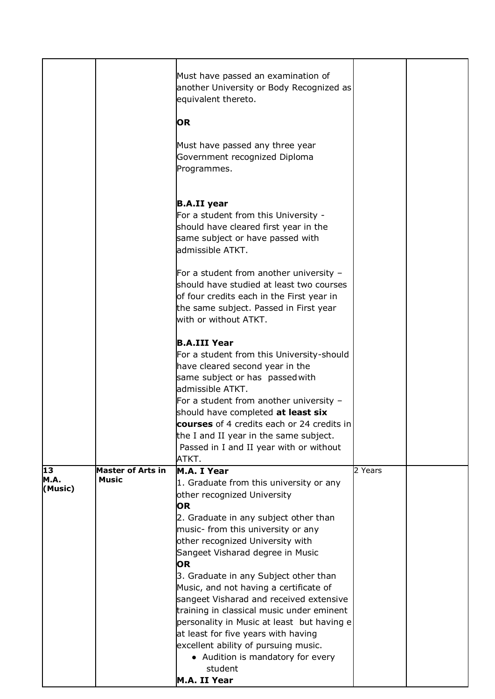|                                          | Must have passed an examination of<br>equivalent thereto.                                                                                                                                                                                                                                                                                                                                                                                                                  |                                                                                                                                                                                                                             |                                                                                                                                      |
|------------------------------------------|----------------------------------------------------------------------------------------------------------------------------------------------------------------------------------------------------------------------------------------------------------------------------------------------------------------------------------------------------------------------------------------------------------------------------------------------------------------------------|-----------------------------------------------------------------------------------------------------------------------------------------------------------------------------------------------------------------------------|--------------------------------------------------------------------------------------------------------------------------------------|
|                                          | <b>OR</b>                                                                                                                                                                                                                                                                                                                                                                                                                                                                  |                                                                                                                                                                                                                             |                                                                                                                                      |
|                                          | Must have passed any three year<br>Government recognized Diploma<br>Programmes.                                                                                                                                                                                                                                                                                                                                                                                            |                                                                                                                                                                                                                             |                                                                                                                                      |
|                                          | <b>B.A.II year</b><br>For a student from this University -<br>should have cleared first year in the<br>same subject or have passed with<br>admissible ATKT.                                                                                                                                                                                                                                                                                                                |                                                                                                                                                                                                                             |                                                                                                                                      |
|                                          | For a student from another university -<br>should have studied at least two courses<br>of four credits each in the First year in<br>the same subject. Passed in First year<br>with or without ATKT.                                                                                                                                                                                                                                                                        |                                                                                                                                                                                                                             |                                                                                                                                      |
|                                          | <b>B.A.III Year</b><br>For a student from this University-should<br>have cleared second year in the<br>same subject or has passed with                                                                                                                                                                                                                                                                                                                                     |                                                                                                                                                                                                                             |                                                                                                                                      |
|                                          | For a student from another university -<br>should have completed at least six                                                                                                                                                                                                                                                                                                                                                                                              |                                                                                                                                                                                                                             |                                                                                                                                      |
|                                          | ATKT.                                                                                                                                                                                                                                                                                                                                                                                                                                                                      |                                                                                                                                                                                                                             |                                                                                                                                      |
| <b>Master of Arts in</b><br><b>Music</b> | 1. Graduate from this university or any<br>other recognized University<br><b>OR</b><br>2. Graduate in any subject other than<br>music- from this university or any<br>other recognized University with<br>Sangeet Visharad degree in Music<br><b>OR</b><br>3. Graduate in any Subject other than<br>sangeet Visharad and received extensive<br>at least for five years with having<br>excellent ability of pursuing music.<br>• Audition is mandatory for every<br>student | 2 Years                                                                                                                                                                                                                     |                                                                                                                                      |
|                                          |                                                                                                                                                                                                                                                                                                                                                                                                                                                                            | admissible ATKT.<br>the I and II year in the same subject.<br>Passed in I and II year with or without<br>M.A. I Year<br>Music, and not having a certificate of<br>training in classical music under eminent<br>M.A. II Year | another University or Body Recognized as<br>courses of 4 credits each or 24 credits in<br>personality in Music at least but having e |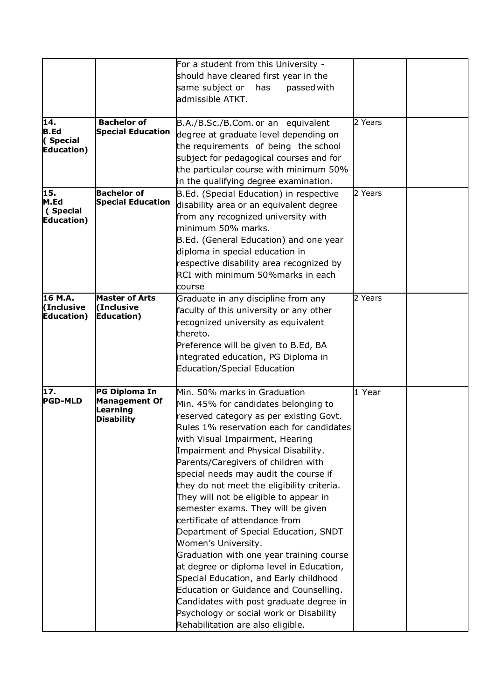|                    |                          | For a student from this University -       |         |  |
|--------------------|--------------------------|--------------------------------------------|---------|--|
|                    |                          | should have cleared first year in the      |         |  |
|                    |                          | same subject or has<br>passed with         |         |  |
|                    |                          | admissible ATKT.                           |         |  |
|                    |                          |                                            |         |  |
| 14.                | <b>Bachelor of</b>       |                                            | 2 Years |  |
| <b>B.Ed</b>        | <b>Special Education</b> | B.A./B.Sc./B.Com. or an equivalent         |         |  |
| (Special           |                          | degree at graduate level depending on      |         |  |
| <b>Education</b> ) |                          | the requirements of being the school       |         |  |
|                    |                          | subject for pedagogical courses and for    |         |  |
|                    |                          | the particular course with minimum 50%     |         |  |
|                    |                          | in the qualifying degree examination.      |         |  |
| 15.<br>M.Ed        | <b>Bachelor of</b>       | B.Ed. (Special Education) in respective    | 2 Years |  |
| (Special           | <b>Special Education</b> | disability area or an equivalent degree    |         |  |
| Education)         |                          | from any recognized university with        |         |  |
|                    |                          | minimum 50% marks.                         |         |  |
|                    |                          | B.Ed. (General Education) and one year     |         |  |
|                    |                          | diploma in special education in            |         |  |
|                    |                          | respective disability area recognized by   |         |  |
|                    |                          | RCI with minimum 50%marks in each          |         |  |
|                    |                          | course                                     |         |  |
| 16 M.A.            | <b>Master of Arts</b>    | Graduate in any discipline from any        | 2 Years |  |
| (Inclusive         | (Inclusive               | faculty of this university or any other    |         |  |
| Education)         | <b>Education</b> )       | recognized university as equivalent        |         |  |
|                    |                          | thereto.                                   |         |  |
|                    |                          | Preference will be given to B.Ed, BA       |         |  |
|                    |                          | integrated education, PG Diploma in        |         |  |
|                    |                          | <b>Education/Special Education</b>         |         |  |
|                    |                          |                                            |         |  |
| 17.                | PG Diploma In            | Min. 50% marks in Graduation               | 1 Year  |  |
| <b>PGD-MLD</b>     | <b>Management Of</b>     | Min. 45% for candidates belonging to       |         |  |
|                    | Learning                 | reserved category as per existing Govt.    |         |  |
|                    | <b>Disability</b>        | Rules 1% reservation each for candidates   |         |  |
|                    |                          | with Visual Impairment, Hearing            |         |  |
|                    |                          | Impairment and Physical Disability.        |         |  |
|                    |                          | Parents/Caregivers of children with        |         |  |
|                    |                          | special needs may audit the course if      |         |  |
|                    |                          | they do not meet the eligibility criteria. |         |  |
|                    |                          |                                            |         |  |
|                    |                          | They will not be eligible to appear in     |         |  |
|                    |                          | semester exams. They will be given         |         |  |
|                    |                          | certificate of attendance from             |         |  |
|                    |                          | Department of Special Education, SNDT      |         |  |
|                    |                          | Women's University.                        |         |  |
|                    |                          | Graduation with one year training course   |         |  |
|                    |                          | at degree or diploma level in Education,   |         |  |
|                    |                          | Special Education, and Early childhood     |         |  |
|                    |                          | Education or Guidance and Counselling.     |         |  |
|                    |                          | Candidates with post graduate degree in    |         |  |
|                    |                          | Psychology or social work or Disability    |         |  |
|                    |                          | Rehabilitation are also eligible.          |         |  |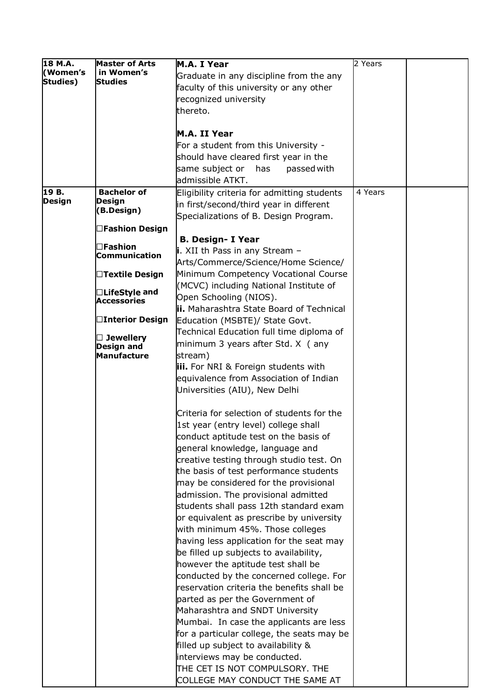| 18 M.A.       | <b>Master of Arts</b>            | M.A. I Year                                 | 2 Years |  |
|---------------|----------------------------------|---------------------------------------------|---------|--|
| (Women's      | in Women's                       | Graduate in any discipline from the any     |         |  |
| Studies)      | <b>Studies</b>                   | faculty of this university or any other     |         |  |
|               |                                  | recognized university                       |         |  |
|               |                                  | thereto.                                    |         |  |
|               |                                  |                                             |         |  |
|               |                                  | M.A. II Year                                |         |  |
|               |                                  | For a student from this University -        |         |  |
|               |                                  | should have cleared first year in the       |         |  |
|               |                                  | same subject or<br>has<br>passed with       |         |  |
|               |                                  | admissible ATKT.                            |         |  |
| 19 B.         | <b>Bachelor of</b>               | Eligibility criteria for admitting students | 4 Years |  |
| <b>Design</b> | <b>Design</b>                    | in first/second/third year in different     |         |  |
|               | (B.Design)                       | Specializations of B. Design Program.       |         |  |
|               | □Fashion Design                  |                                             |         |  |
|               |                                  | <b>B. Design- I Year</b>                    |         |  |
|               | $\square$ Fashion                | i. XII th Pass in any Stream -              |         |  |
|               | <b>Communication</b>             | Arts/Commerce/Science/Home Science/         |         |  |
|               | □Textile Design                  | Minimum Competency Vocational Course        |         |  |
|               |                                  | (MCVC) including National Institute of      |         |  |
|               | □LifeStyle and                   | Open Schooling (NIOS).                      |         |  |
|               | <b>Accessories</b>               | ii. Maharashtra State Board of Technical    |         |  |
|               | □Interior Design                 | Education (MSBTE)/ State Govt.              |         |  |
|               |                                  | Technical Education full time diploma of    |         |  |
|               | $\Box$ Jewellery                 | minimum 3 years after Std. X (any           |         |  |
|               | <b>Design and</b><br>Manufacture | stream)                                     |         |  |
|               |                                  | iii. For NRI & Foreign students with        |         |  |
|               |                                  | equivalence from Association of Indian      |         |  |
|               |                                  | Universities (AIU), New Delhi               |         |  |
|               |                                  |                                             |         |  |
|               |                                  | Criteria for selection of students for the  |         |  |
|               |                                  | 1st year (entry level) college shall        |         |  |
|               |                                  | conduct aptitude test on the basis of       |         |  |
|               |                                  | general knowledge, language and             |         |  |
|               |                                  | creative testing through studio test. On    |         |  |
|               |                                  | the basis of test performance students      |         |  |
|               |                                  | may be considered for the provisional       |         |  |
|               |                                  | admission. The provisional admitted         |         |  |
|               |                                  | students shall pass 12th standard exam      |         |  |
|               |                                  | or equivalent as prescribe by university    |         |  |
|               |                                  | with minimum 45%. Those colleges            |         |  |
|               |                                  | having less application for the seat may    |         |  |
|               |                                  | be filled up subjects to availability,      |         |  |
|               |                                  | however the aptitude test shall be          |         |  |
|               |                                  | conducted by the concerned college. For     |         |  |
|               |                                  | reservation criteria the benefits shall be  |         |  |
|               |                                  | parted as per the Government of             |         |  |
|               |                                  | Maharashtra and SNDT University             |         |  |
|               |                                  | Mumbai. In case the applicants are less     |         |  |
|               |                                  | for a particular college, the seats may be  |         |  |
|               |                                  | filled up subject to availability &         |         |  |
|               |                                  | interviews may be conducted.                |         |  |
|               |                                  | THE CET IS NOT COMPULSORY. THE              |         |  |
|               |                                  | COLLEGE MAY CONDUCT THE SAME AT             |         |  |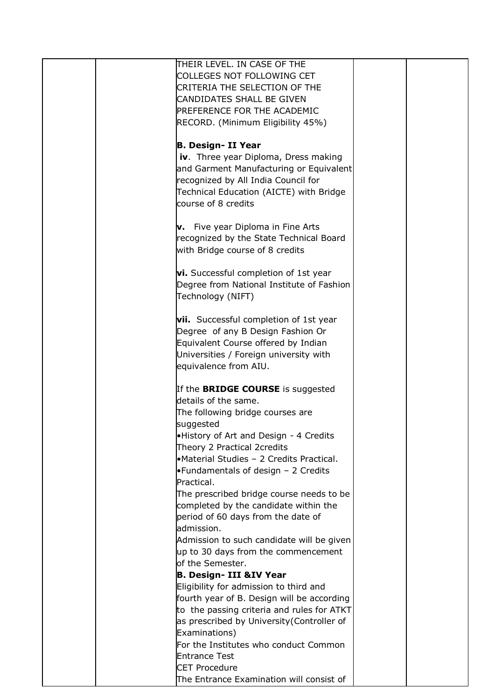| THEIR LEVEL. IN CASE OF THE                   |  |
|-----------------------------------------------|--|
| COLLEGES NOT FOLLOWING CET                    |  |
|                                               |  |
| <b>CRITERIA THE SELECTION OF THE</b>          |  |
| CANDIDATES SHALL BE GIVEN                     |  |
| PREFERENCE FOR THE ACADEMIC                   |  |
| RECORD. (Minimum Eligibility 45%)             |  |
|                                               |  |
|                                               |  |
| <b>B. Design- II Year</b>                     |  |
| iv. Three year Diploma, Dress making          |  |
| and Garment Manufacturing or Equivalent       |  |
| recognized by All India Council for           |  |
|                                               |  |
| Technical Education (AICTE) with Bridge       |  |
| course of 8 credits                           |  |
|                                               |  |
| <b>v.</b> Five year Diploma in Fine Arts      |  |
| recognized by the State Technical Board       |  |
|                                               |  |
| with Bridge course of 8 credits               |  |
|                                               |  |
| <b>vi.</b> Successful completion of 1st year  |  |
| Degree from National Institute of Fashion     |  |
|                                               |  |
| Technology (NIFT)                             |  |
|                                               |  |
| <b>vii.</b> Successful completion of 1st year |  |
| Degree of any B Design Fashion Or             |  |
| Equivalent Course offered by Indian           |  |
|                                               |  |
| Universities / Foreign university with        |  |
| equivalence from AIU.                         |  |
|                                               |  |
| If the <b>BRIDGE COURSE</b> is suggested      |  |
| details of the same.                          |  |
|                                               |  |
| The following bridge courses are              |  |
| suggested                                     |  |
| .History of Art and Design - 4 Credits        |  |
| Theory 2 Practical 2credits                   |  |
| •Material Studies - 2 Credits Practical.      |  |
| •Fundamentals of design - 2 Credits           |  |
|                                               |  |
| Practical.                                    |  |
| The prescribed bridge course needs to be      |  |
| completed by the candidate within the         |  |
| period of 60 days from the date of            |  |
| admission.                                    |  |
|                                               |  |
| Admission to such candidate will be given     |  |
| up to 30 days from the commencement           |  |
| of the Semester.                              |  |
| <b>B. Design- III &amp;IV Year</b>            |  |
| Eligibility for admission to third and        |  |
|                                               |  |
| fourth year of B. Design will be according    |  |
| to the passing criteria and rules for ATKT    |  |
| as prescribed by University (Controller of    |  |
| Examinations)                                 |  |
| For the Institutes who conduct Common         |  |
|                                               |  |
| <b>Entrance Test</b>                          |  |
| <b>CET Procedure</b>                          |  |
| The Entrance Examination will consist of      |  |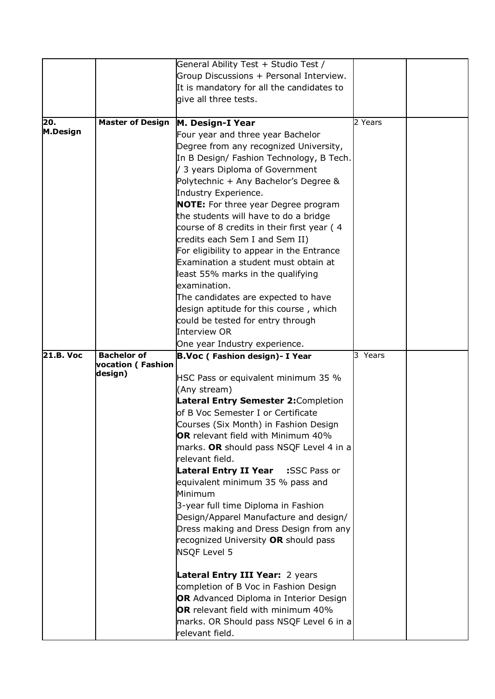|                  |                                     | General Ability Test + Studio Test /<br>Group Discussions + Personal Interview. |         |  |
|------------------|-------------------------------------|---------------------------------------------------------------------------------|---------|--|
|                  |                                     | It is mandatory for all the candidates to                                       |         |  |
|                  |                                     | give all three tests.                                                           |         |  |
|                  |                                     |                                                                                 |         |  |
| 20.              | <b>Master of Design</b>             | M. Design-I Year                                                                | 2 Years |  |
| <b>M.Design</b>  |                                     | Four year and three year Bachelor                                               |         |  |
|                  |                                     | Degree from any recognized University,                                          |         |  |
|                  |                                     | In B Design/ Fashion Technology, B Tech.                                        |         |  |
|                  |                                     | / 3 years Diploma of Government                                                 |         |  |
|                  |                                     | Polytechnic + Any Bachelor's Degree &                                           |         |  |
|                  |                                     | Industry Experience.                                                            |         |  |
|                  |                                     | <b>NOTE:</b> For three year Degree program                                      |         |  |
|                  |                                     | the students will have to do a bridge                                           |         |  |
|                  |                                     | course of 8 credits in their first year (4                                      |         |  |
|                  |                                     | credits each Sem I and Sem II)                                                  |         |  |
|                  |                                     | For eligibility to appear in the Entrance                                       |         |  |
|                  |                                     | Examination a student must obtain at                                            |         |  |
|                  |                                     | least 55% marks in the qualifying                                               |         |  |
|                  |                                     | examination.                                                                    |         |  |
|                  |                                     | The candidates are expected to have                                             |         |  |
|                  |                                     | design aptitude for this course, which                                          |         |  |
|                  |                                     | could be tested for entry through<br>Interview OR                               |         |  |
|                  |                                     |                                                                                 |         |  |
| <b>21.B. Voc</b> | <b>Bachelor of</b>                  | One year Industry experience.<br>B.Voc (Fashion design) - I Year                | 3 Years |  |
|                  | <b>vocation (Fashion</b><br>design) |                                                                                 |         |  |
|                  |                                     | HSC Pass or equivalent minimum 35 %                                             |         |  |
|                  |                                     | (Any stream)                                                                    |         |  |
|                  |                                     | Lateral Entry Semester 2: Completion                                            |         |  |
|                  |                                     | of B Voc Semester I or Certificate                                              |         |  |
|                  |                                     | Courses (Six Month) in Fashion Design                                           |         |  |
|                  |                                     | OR relevant field with Minimum 40%                                              |         |  |
|                  |                                     | marks. OR should pass NSQF Level 4 in a                                         |         |  |
|                  |                                     | relevant field.<br><b>Lateral Entry II Year</b>                                 |         |  |
|                  |                                     | :SSC Pass or<br>equivalent minimum 35 % pass and                                |         |  |
|                  |                                     | Minimum                                                                         |         |  |
|                  |                                     | 3-year full time Diploma in Fashion                                             |         |  |
|                  |                                     | Design/Apparel Manufacture and design/                                          |         |  |
|                  |                                     | Dress making and Dress Design from any                                          |         |  |
|                  |                                     | recognized University OR should pass                                            |         |  |
|                  |                                     | <b>NSQF Level 5</b>                                                             |         |  |
|                  |                                     | Lateral Entry III Year: 2 years                                                 |         |  |
|                  |                                     | completion of B Voc in Fashion Design                                           |         |  |
|                  |                                     | OR Advanced Diploma in Interior Design                                          |         |  |
|                  |                                     | OR relevant field with minimum 40%                                              |         |  |
|                  |                                     | marks. OR Should pass NSQF Level 6 in a<br>relevant field.                      |         |  |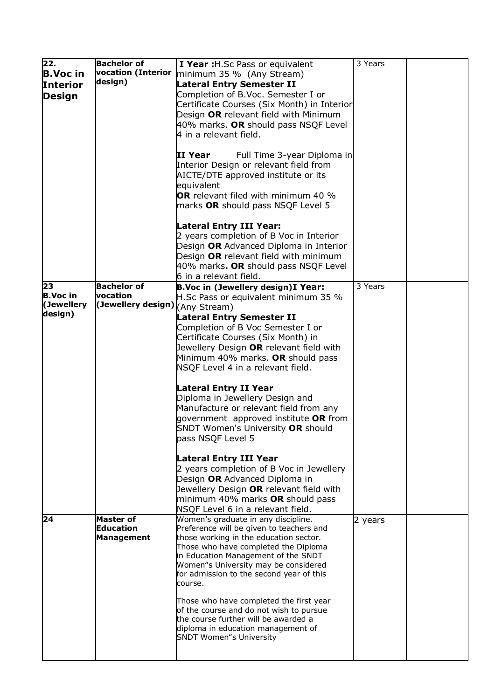| 22.             | <b>Bachelor of</b>              | I Year : H.Sc Pass or equivalent            | 3 Years |  |
|-----------------|---------------------------------|---------------------------------------------|---------|--|
|                 | vocation (Interior              |                                             |         |  |
| <b>B.Voc in</b> |                                 | minimum 35 % (Any Stream)                   |         |  |
| <b>Interior</b> | design)                         | <b>Lateral Entry Semester II</b>            |         |  |
| <b>Design</b>   |                                 | Completion of B.Voc. Semester I or          |         |  |
|                 |                                 | Certificate Courses (Six Month) in Interior |         |  |
|                 |                                 |                                             |         |  |
|                 |                                 | Design OR relevant field with Minimum       |         |  |
|                 |                                 | 40% marks. OR should pass NSQF Level        |         |  |
|                 |                                 | 4 in a relevant field.                      |         |  |
|                 |                                 |                                             |         |  |
|                 |                                 |                                             |         |  |
|                 |                                 | II Year<br>Full Time 3-year Diploma in      |         |  |
|                 |                                 | Interior Design or relevant field from      |         |  |
|                 |                                 | AICTE/DTE approved institute or its         |         |  |
|                 |                                 | equivalent                                  |         |  |
|                 |                                 | <b>OR</b> relevant filed with minimum 40 %  |         |  |
|                 |                                 |                                             |         |  |
|                 |                                 | marks OR should pass NSQF Level 5           |         |  |
|                 |                                 |                                             |         |  |
|                 |                                 | <b>Lateral Entry III Year:</b>              |         |  |
|                 |                                 | 2 years completion of B Voc in Interior     |         |  |
|                 |                                 |                                             |         |  |
|                 |                                 | Design OR Advanced Diploma in Interior      |         |  |
|                 |                                 | Design OR relevant field with minimum       |         |  |
|                 |                                 | 40% marks. OR should pass NSQF Level        |         |  |
|                 |                                 | 6 in a relevant field.                      |         |  |
| 23              | <b>Bachelor of</b>              | B.Voc in (Jewellery design)I Year:          | 3 Years |  |
| <b>B.Voc</b> in | vocation                        |                                             |         |  |
| (Jewellery      |                                 | H.Sc Pass or equivalent minimum 35 %        |         |  |
|                 | (Jewellery design) (Any Stream) |                                             |         |  |
| design)         |                                 | <b>Lateral Entry Semester II</b>            |         |  |
|                 |                                 | Completion of B Voc Semester I or           |         |  |
|                 |                                 | Certificate Courses (Six Month) in          |         |  |
|                 |                                 |                                             |         |  |
|                 |                                 | Jewellery Design OR relevant field with     |         |  |
|                 |                                 | Minimum 40% marks. OR should pass           |         |  |
|                 |                                 | NSQF Level 4 in a relevant field.           |         |  |
|                 |                                 |                                             |         |  |
|                 |                                 |                                             |         |  |
|                 |                                 | Lateral Entry II Year                       |         |  |
|                 |                                 | Diploma in Jewellery Design and             |         |  |
|                 |                                 | Manufacture or relevant field from any      |         |  |
|                 |                                 | government approved institute OR from       |         |  |
|                 |                                 | SNDT Women's University OR should           |         |  |
|                 |                                 |                                             |         |  |
|                 |                                 | pass NSQF Level 5                           |         |  |
|                 |                                 |                                             |         |  |
|                 |                                 | <b>Lateral Entry III Year</b>               |         |  |
|                 |                                 | 2 years completion of B Voc in Jewellery    |         |  |
|                 |                                 | Design OR Advanced Diploma in               |         |  |
|                 |                                 |                                             |         |  |
|                 |                                 | Jewellery Design OR relevant field with     |         |  |
|                 |                                 | minimum 40% marks OR should pass            |         |  |
|                 |                                 | NSQF Level 6 in a relevant field.           |         |  |
| 24              | <b>Master of</b>                | Women's graduate in any discipline.         | 2 years |  |
|                 | <b>Education</b>                | Preference will be given to teachers and    |         |  |
|                 | <b>Management</b>               | those working in the education sector.      |         |  |
|                 |                                 | Those who have completed the Diploma        |         |  |
|                 |                                 | in Education Management of the SNDT         |         |  |
|                 |                                 |                                             |         |  |
|                 |                                 | Women"s University may be considered        |         |  |
|                 |                                 | for admission to the second year of this    |         |  |
|                 |                                 | course.                                     |         |  |
|                 |                                 |                                             |         |  |
|                 |                                 | Those who have completed the first year     |         |  |
|                 |                                 | of the course and do not wish to pursue     |         |  |
|                 |                                 | the course further will be awarded a        |         |  |
|                 |                                 | diploma in education management of          |         |  |
|                 |                                 | <b>SNDT Women</b> "s University             |         |  |
|                 |                                 |                                             |         |  |
|                 |                                 |                                             |         |  |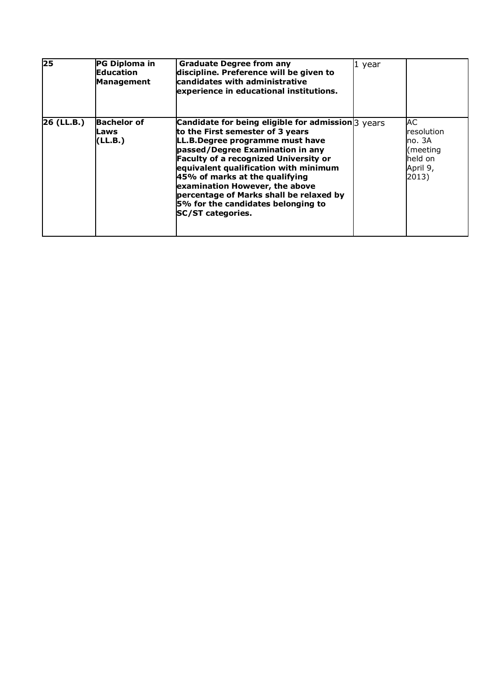| $\overline{25}$ | PG Diploma in<br><b>Education</b><br><b>Management</b> | <b>Graduate Degree from any</b><br>$1$ year<br>discipline. Preference will be given to<br>candidates with administrative<br>experience in educational institutions.                                                                                                                                                                                                                                                                           |                                                                        |
|-----------------|--------------------------------------------------------|-----------------------------------------------------------------------------------------------------------------------------------------------------------------------------------------------------------------------------------------------------------------------------------------------------------------------------------------------------------------------------------------------------------------------------------------------|------------------------------------------------------------------------|
| 26 (LL.B.)      | <b>Bachelor of</b><br>Laws<br>(LL.B.)                  | Candidate for being eligible for admission $\beta$ years<br>to the First semester of 3 years<br>LL.B.Degree programme must have<br>passed/Degree Examination in any<br><b>Faculty of a recognized University or</b><br>equivalent qualification with minimum<br>45% of marks at the qualifying<br>examination However, the above<br>percentage of Marks shall be relaxed by<br>5% for the candidates belonging to<br><b>SC/ST categories.</b> | AC<br>resolution<br>no. 3A<br>(meeting<br>held on<br>April 9,<br>2013) |